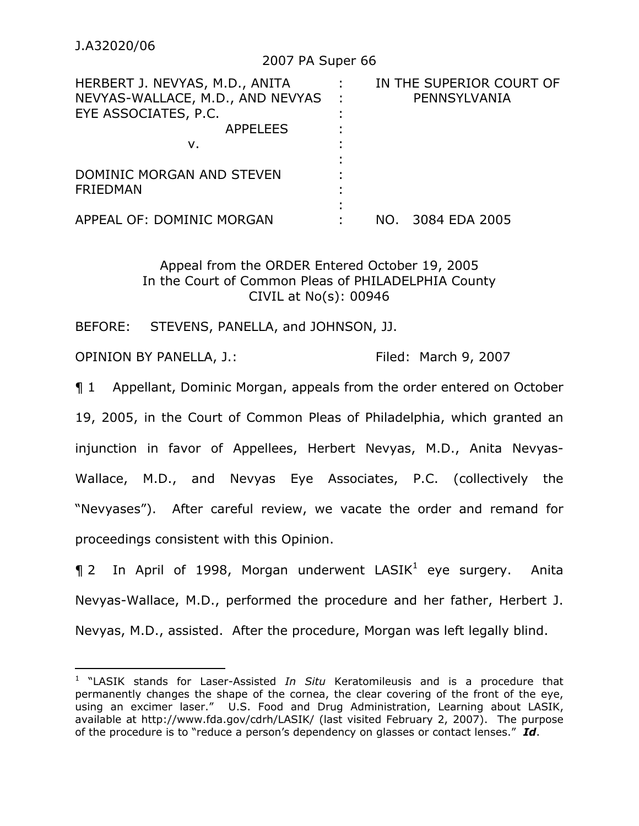$\overline{a}$ 

## 2007 PA Super 66

| HERBERT J. NEVYAS, M.D., ANITA   |          |     | IN THE SUPERIOR COURT OF |
|----------------------------------|----------|-----|--------------------------|
| NEVYAS-WALLACE, M.D., AND NEVYAS | $\sim$ 1 |     | PENNSYLVANIA             |
| EYE ASSOCIATES, P.C.             |          |     |                          |
| <b>APPELEES</b>                  |          |     |                          |
| v.                               |          |     |                          |
| DOMINIC MORGAN AND STEVEN        |          |     |                          |
| <b>FRIEDMAN</b>                  |          |     |                          |
|                                  |          |     |                          |
| APPEAL OF: DOMINIC MORGAN        |          | NO. | 3084 EDA 2005            |

# Appeal from the ORDER Entered October 19, 2005 In the Court of Common Pleas of PHILADELPHIA County CIVIL at No(s): 00946

BEFORE: STEVENS, PANELLA, and JOHNSON, JJ.

OPINION BY PANELLA, J.: Filed: March 9, 2007

¶ 1 Appellant, Dominic Morgan, appeals from the order entered on October 19, 2005, in the Court of Common Pleas of Philadelphia, which granted an injunction in favor of Appellees, Herbert Nevyas, M.D., Anita Nevyas-Wallace, M.D., and Nevyas Eye Associates, P.C. (collectively the "Nevyases"). After careful review, we vacate the order and remand for proceedings consistent with this Opinion.

 $\P$  2 In April of 1998, Morgan underwent LASIK<sup>1</sup> eye surgery. Anita Nevyas-Wallace, M.D., performed the procedure and her father, Herbert J. Nevyas, M.D., assisted. After the procedure, Morgan was left legally blind.

<sup>&</sup>lt;sup>1</sup> "LASIK stands for Laser-Assisted *In Situ* Keratomileusis and is a procedure that permanently changes the shape of the cornea, the clear covering of the front of the eye, using an excimer laser." U.S. Food and Drug Administration, Learning about LASIK, available at http://www.fda.gov/cdrh/LASIK/ (last visited February 2, 2007). The purpose of the procedure is to "reduce a person's dependency on glasses or contact lenses." *Id*.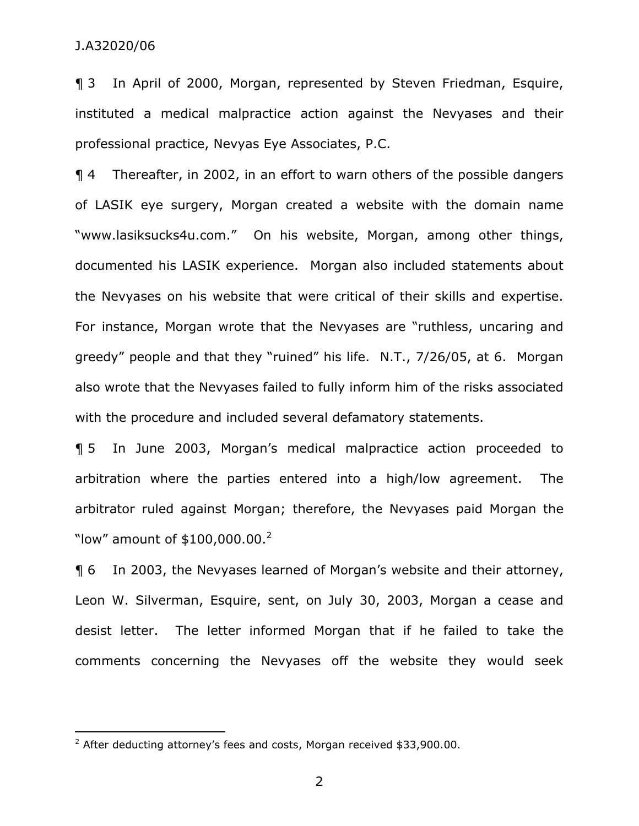¶ 3 In April of 2000, Morgan, represented by Steven Friedman, Esquire, instituted a medical malpractice action against the Nevyases and their professional practice, Nevyas Eye Associates, P.C.

¶ 4 Thereafter, in 2002, in an effort to warn others of the possible dangers of LASIK eye surgery, Morgan created a website with the domain name "www.lasiksucks4u.com." On his website, Morgan, among other things, documented his LASIK experience. Morgan also included statements about the Nevyases on his website that were critical of their skills and expertise. For instance, Morgan wrote that the Nevyases are "ruthless, uncaring and greedy" people and that they "ruined" his life. N.T., 7/26/05, at 6. Morgan also wrote that the Nevyases failed to fully inform him of the risks associated with the procedure and included several defamatory statements.

¶ 5 In June 2003, Morgan's medical malpractice action proceeded to arbitration where the parties entered into a high/low agreement. The arbitrator ruled against Morgan; therefore, the Nevyases paid Morgan the "low" amount of  $$100,000.00.<sup>2</sup>$ 

¶ 6 In 2003, the Nevyases learned of Morgan's website and their attorney, Leon W. Silverman, Esquire, sent, on July 30, 2003, Morgan a cease and desist letter. The letter informed Morgan that if he failed to take the comments concerning the Nevyases off the website they would seek

entilative modes and the modes of the matter of the matter of the costs. After deducting attorney's fees and costs, Morgan received \$33,900.00.

<sup>2</sup>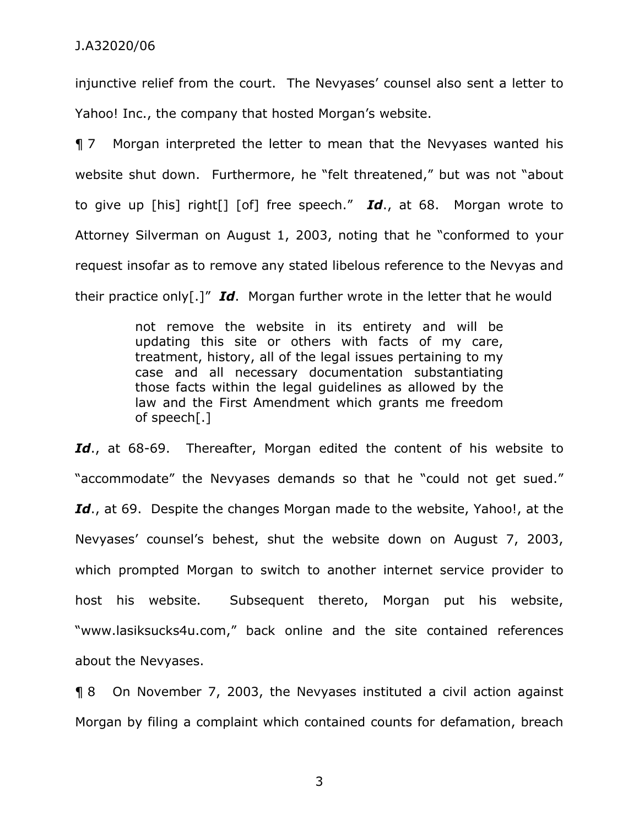injunctive relief from the court. The Nevyases' counsel also sent a letter to Yahoo! Inc., the company that hosted Morgan's website.

¶ 7 Morgan interpreted the letter to mean that the Nevyases wanted his website shut down. Furthermore, he "felt threatened," but was not "about to give up [his] right[] [of] free speech." *Id*., at 68. Morgan wrote to Attorney Silverman on August 1, 2003, noting that he "conformed to your request insofar as to remove any stated libelous reference to the Nevyas and their practice only[.]" *Id*. Morgan further wrote in the letter that he would

> not remove the website in its entirety and will be updating this site or others with facts of my care, treatment, history, all of the legal issues pertaining to my case and all necessary documentation substantiating those facts within the legal guidelines as allowed by the law and the First Amendment which grants me freedom of speech[.]

Id., at 68-69. Thereafter, Morgan edited the content of his website to "accommodate" the Nevyases demands so that he "could not get sued." Id., at 69. Despite the changes Morgan made to the website, Yahoo!, at the Nevyases' counsel's behest, shut the website down on August 7, 2003, which prompted Morgan to switch to another internet service provider to host his website. Subsequent thereto, Morgan put his website, "www.lasiksucks4u.com," back online and the site contained references about the Nevyases.

¶ 8 On November 7, 2003, the Nevyases instituted a civil action against Morgan by filing a complaint which contained counts for defamation, breach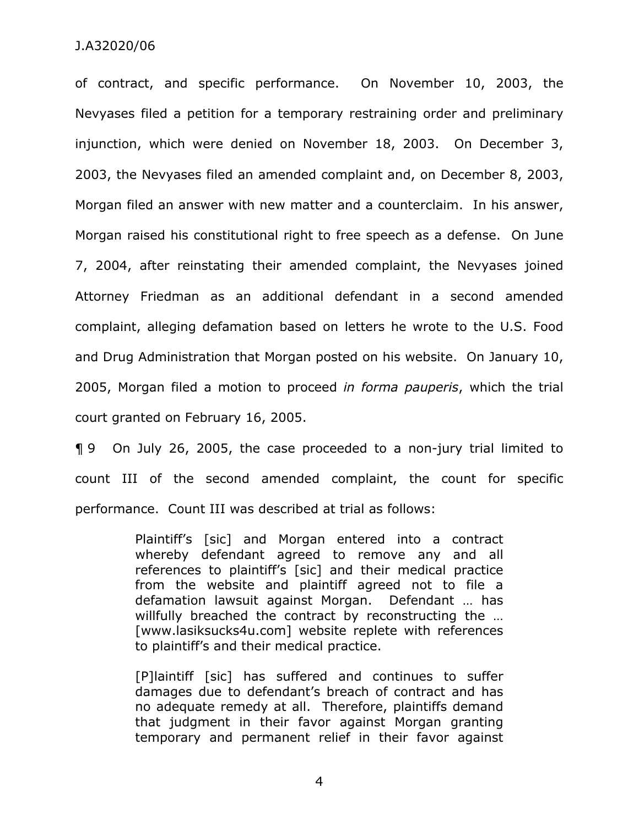of contract, and specific performance. On November 10, 2003, the Nevyases filed a petition for a temporary restraining order and preliminary injunction, which were denied on November 18, 2003. On December 3, 2003, the Nevyases filed an amended complaint and, on December 8, 2003, Morgan filed an answer with new matter and a counterclaim. In his answer, Morgan raised his constitutional right to free speech as a defense. On June 7, 2004, after reinstating their amended complaint, the Nevyases joined Attorney Friedman as an additional defendant in a second amended complaint, alleging defamation based on letters he wrote to the U.S. Food and Drug Administration that Morgan posted on his website. On January 10, 2005, Morgan filed a motion to proceed *in forma pauperis*, which the trial court granted on February 16, 2005.

¶ 9 On July 26, 2005, the case proceeded to a non-jury trial limited to count III of the second amended complaint, the count for specific performance. Count III was described at trial as follows:

> Plaintiff's [sic] and Morgan entered into a contract whereby defendant agreed to remove any and all references to plaintiff's [sic] and their medical practice from the website and plaintiff agreed not to file a defamation lawsuit against Morgan. Defendant … has willfully breached the contract by reconstructing the ... [www.lasiksucks4u.com] website replete with references to plaintiff's and their medical practice.

> [P]laintiff [sic] has suffered and continues to suffer damages due to defendant's breach of contract and has no adequate remedy at all. Therefore, plaintiffs demand that judgment in their favor against Morgan granting temporary and permanent relief in their favor against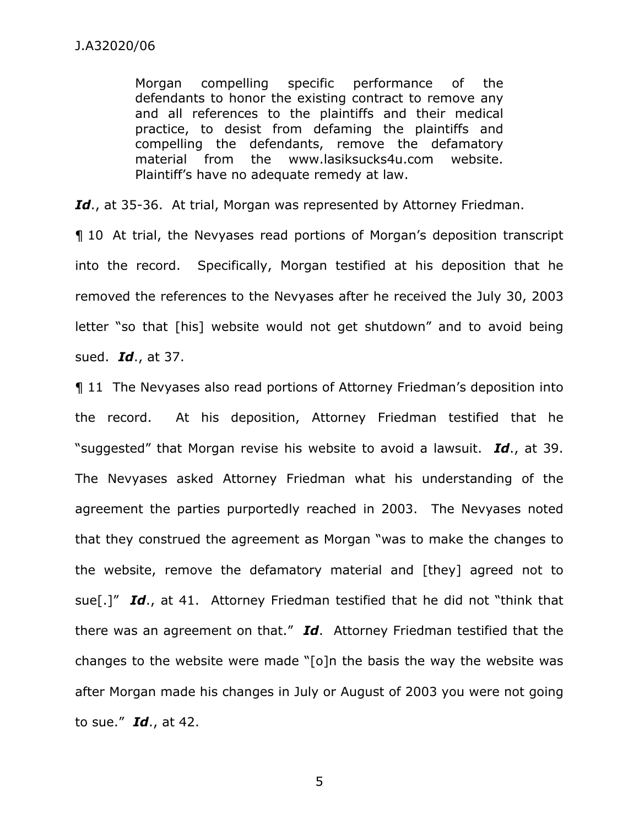Morgan compelling specific performance of the defendants to honor the existing contract to remove any and all references to the plaintiffs and their medical practice, to desist from defaming the plaintiffs and compelling the defendants, remove the defamatory material from the www.lasiksucks4u.com website. Plaintiff's have no adequate remedy at law.

Id., at 35-36. At trial, Morgan was represented by Attorney Friedman.

¶ 10 At trial, the Nevyases read portions of Morgan's deposition transcript into the record. Specifically, Morgan testified at his deposition that he removed the references to the Nevyases after he received the July 30, 2003 letter "so that [his] website would not get shutdown" and to avoid being sued. *Id*., at 37.

¶ 11 The Nevyases also read portions of Attorney Friedman's deposition into the record. At his deposition, Attorney Friedman testified that he "suggested" that Morgan revise his website to avoid a lawsuit. *Id*., at 39. The Nevyases asked Attorney Friedman what his understanding of the agreement the parties purportedly reached in 2003. The Nevyases noted that they construed the agreement as Morgan "was to make the changes to the website, remove the defamatory material and [they] agreed not to sue[.]" *Id*., at 41. Attorney Friedman testified that he did not "think that there was an agreement on that." *Id*. Attorney Friedman testified that the changes to the website were made "[o]n the basis the way the website was after Morgan made his changes in July or August of 2003 you were not going to sue." *Id*., at 42.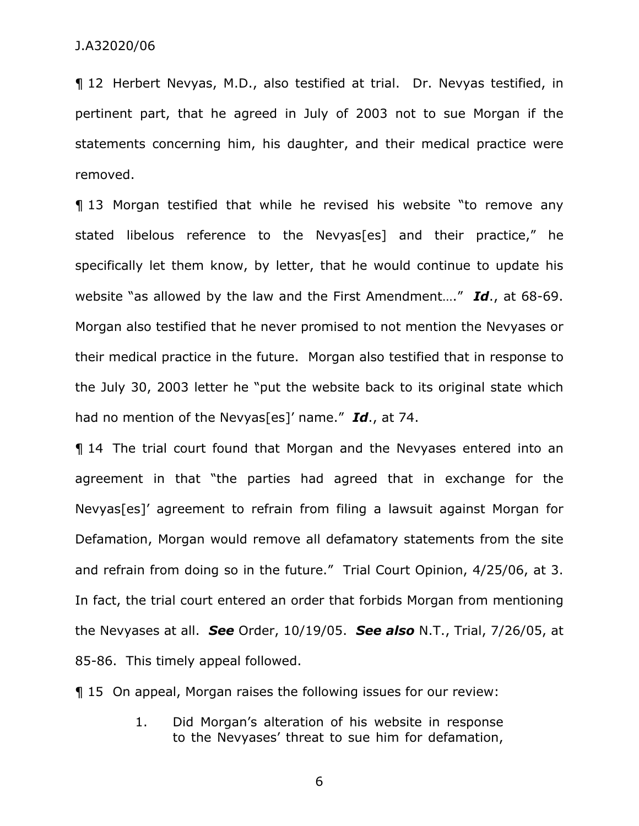¶ 12 Herbert Nevyas, M.D., also testified at trial. Dr. Nevyas testified, in pertinent part, that he agreed in July of 2003 not to sue Morgan if the statements concerning him, his daughter, and their medical practice were removed.

¶ 13 Morgan testified that while he revised his website "to remove any stated libelous reference to the Nevyas[es] and their practice," he specifically let them know, by letter, that he would continue to update his website "as allowed by the law and the First Amendment…." *Id*., at 68-69. Morgan also testified that he never promised to not mention the Nevyases or their medical practice in the future. Morgan also testified that in response to the July 30, 2003 letter he "put the website back to its original state which had no mention of the Nevyas[es]' name." *Id*., at 74.

¶ 14 The trial court found that Morgan and the Nevyases entered into an agreement in that "the parties had agreed that in exchange for the Nevyas[es]' agreement to refrain from filing a lawsuit against Morgan for Defamation, Morgan would remove all defamatory statements from the site and refrain from doing so in the future." Trial Court Opinion, 4/25/06, at 3. In fact, the trial court entered an order that forbids Morgan from mentioning the Nevyases at all. *See* Order, 10/19/05. *See also* N.T., Trial, 7/26/05, at 85-86. This timely appeal followed.

¶ 15 On appeal, Morgan raises the following issues for our review:

1. Did Morgan's alteration of his website in response to the Nevyases' threat to sue him for defamation,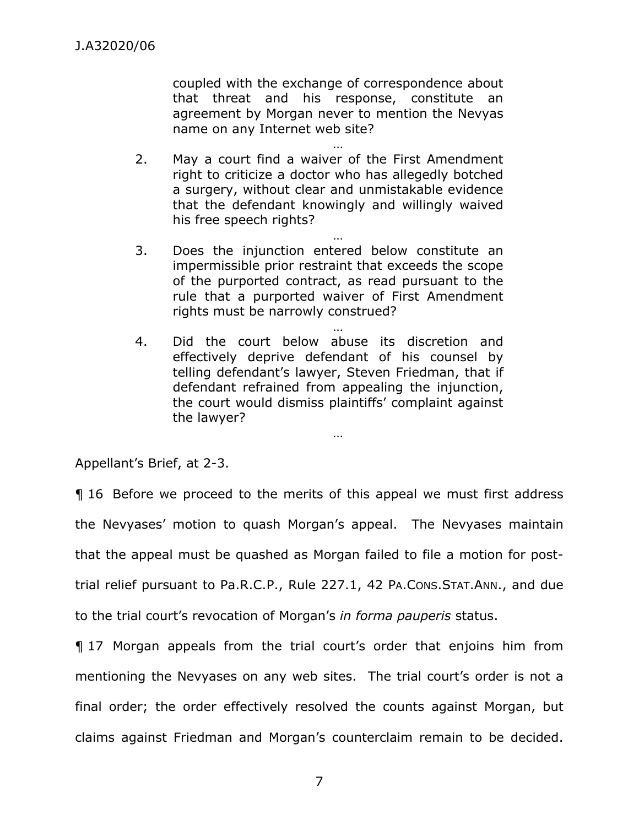coupled with the exchange of correspondence about that threat and his response, constitute an agreement by Morgan never to mention the Nevyas name on any Internet web site?

… 2. May a court find a waiver of the First Amendment right to criticize a doctor who has allegedly botched a surgery, without clear and unmistakable evidence that the defendant knowingly and willingly waived his free speech rights?

…

- 3. Does the injunction entered below constitute an impermissible prior restraint that exceeds the scope of the purported contract, as read pursuant to the rule that a purported waiver of First Amendment rights must be narrowly construed?
- … 4. Did the court below abuse its discretion and effectively deprive defendant of his counsel by telling defendant's lawyer, Steven Friedman, that if defendant refrained from appealing the injunction, the court would dismiss plaintiffs' complaint against the lawyer?

…

Appellant's Brief, at 2-3.

¶ 16 Before we proceed to the merits of this appeal we must first address the Nevyases' motion to quash Morgan's appeal. The Nevyases maintain that the appeal must be quashed as Morgan failed to file a motion for posttrial relief pursuant to Pa.R.C.P., Rule 227.1, 42 PA.CONS.STAT.ANN., and due to the trial court's revocation of Morgan's *in forma pauperis* status.

¶ 17 Morgan appeals from the trial court's order that enjoins him from mentioning the Nevyases on any web sites. The trial court's order is not a final order; the order effectively resolved the counts against Morgan, but claims against Friedman and Morgan's counterclaim remain to be decided.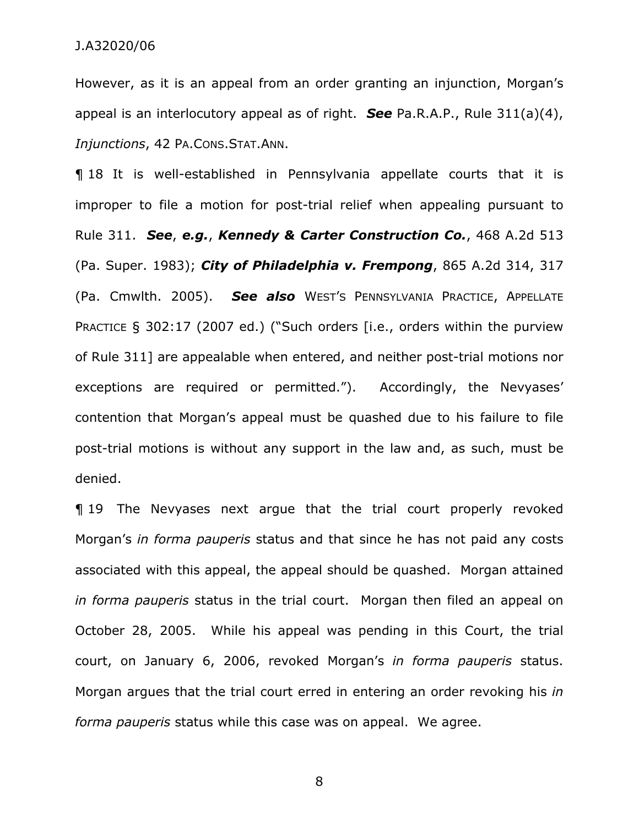However, as it is an appeal from an order granting an injunction, Morgan's appeal is an interlocutory appeal as of right. *See* Pa.R.A.P., Rule 311(a)(4), *Injunctions*, 42 PA.CONS.STAT.ANN.

¶ 18 It is well-established in Pennsylvania appellate courts that it is improper to file a motion for post-trial relief when appealing pursuant to Rule 311. *See*, *e.g.*, *Kennedy & Carter Construction Co.*, 468 A.2d 513 (Pa. Super. 1983); *City of Philadelphia v. Frempong*, 865 A.2d 314, 317 (Pa. Cmwlth. 2005). *See also* WEST'S PENNSYLVANIA PRACTICE, APPELLATE PRACTICE § 302:17 (2007 ed.) ("Such orders [i.e., orders within the purview of Rule 311] are appealable when entered, and neither post-trial motions nor exceptions are required or permitted."). Accordingly, the Nevyases' contention that Morgan's appeal must be quashed due to his failure to file post-trial motions is without any support in the law and, as such, must be denied.

¶ 19 The Nevyases next argue that the trial court properly revoked Morgan's *in forma pauperis* status and that since he has not paid any costs associated with this appeal, the appeal should be quashed. Morgan attained *in forma pauperis* status in the trial court. Morgan then filed an appeal on October 28, 2005. While his appeal was pending in this Court, the trial court, on January 6, 2006, revoked Morgan's *in forma pauperis* status. Morgan argues that the trial court erred in entering an order revoking his *in forma pauperis* status while this case was on appeal. We agree.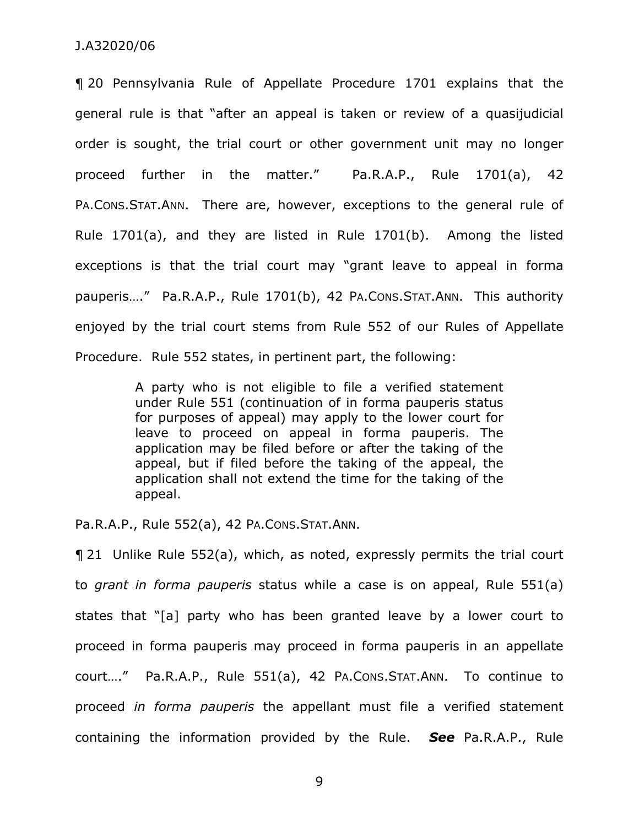¶ 20 Pennsylvania Rule of Appellate Procedure 1701 explains that the general rule is that "after an appeal is taken or review of a quasijudicial order is sought, the trial court or other government unit may no longer proceed further in the matter." Pa.R.A.P., Rule 1701(a), 42 PA.CONS.STAT.ANN. There are, however, exceptions to the general rule of Rule 1701(a), and they are listed in Rule 1701(b). Among the listed exceptions is that the trial court may "grant leave to appeal in forma pauperis…." Pa.R.A.P., Rule 1701(b), 42 PA.CONS.STAT.ANN. This authority enjoyed by the trial court stems from Rule 552 of our Rules of Appellate Procedure. Rule 552 states, in pertinent part, the following:

> A party who is not eligible to file a verified statement under Rule 551 (continuation of in forma pauperis status for purposes of appeal) may apply to the lower court for leave to proceed on appeal in forma pauperis. The application may be filed before or after the taking of the appeal, but if filed before the taking of the appeal, the application shall not extend the time for the taking of the appeal.

Pa.R.A.P., Rule 552(a), 42 PA.CONS.STAT.ANN.

¶ 21 Unlike Rule 552(a), which, as noted, expressly permits the trial court to *grant in forma pauperis* status while a case is on appeal, Rule 551(a) states that "[a] party who has been granted leave by a lower court to proceed in forma pauperis may proceed in forma pauperis in an appellate court…." Pa.R.A.P., Rule 551(a), 42 PA.CONS.STAT.ANN. To continue to proceed *in forma pauperis* the appellant must file a verified statement containing the information provided by the Rule. *See* Pa.R.A.P., Rule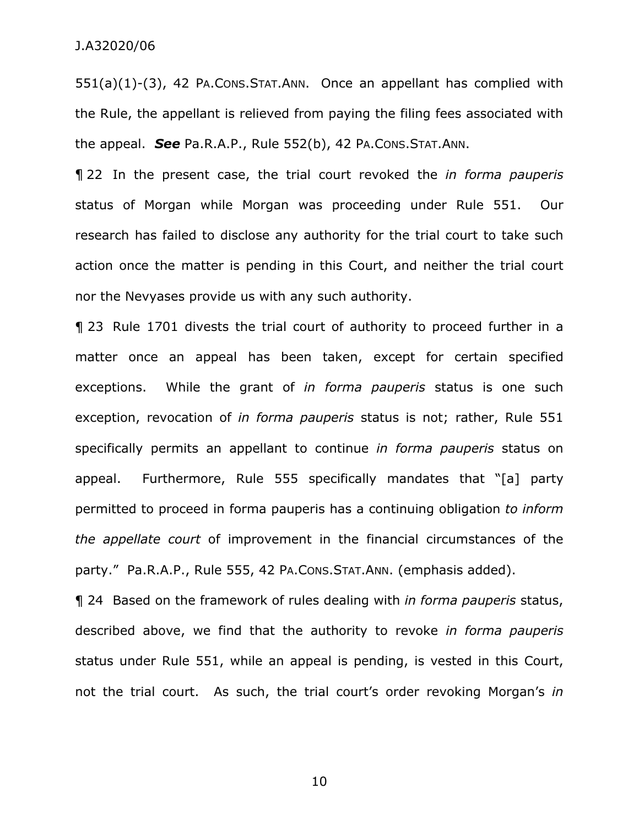551(a)(1)-(3), 42 PA.CONS.STAT.ANN. Once an appellant has complied with the Rule, the appellant is relieved from paying the filing fees associated with the appeal. *See* Pa.R.A.P., Rule 552(b), 42 PA.CONS.STAT.ANN.

¶ 22 In the present case, the trial court revoked the *in forma pauperis*  status of Morgan while Morgan was proceeding under Rule 551. Our research has failed to disclose any authority for the trial court to take such action once the matter is pending in this Court, and neither the trial court nor the Nevyases provide us with any such authority.

¶ 23 Rule 1701 divests the trial court of authority to proceed further in a matter once an appeal has been taken, except for certain specified exceptions. While the grant of *in forma pauperis* status is one such exception, revocation of *in forma pauperis* status is not; rather, Rule 551 specifically permits an appellant to continue *in forma pauperis* status on appeal. Furthermore, Rule 555 specifically mandates that "[a] party permitted to proceed in forma pauperis has a continuing obligation *to inform the appellate court* of improvement in the financial circumstances of the party." Pa.R.A.P., Rule 555, 42 PA.CONS.STAT.ANN. (emphasis added).

¶ 24 Based on the framework of rules dealing with *in forma pauperis* status, described above, we find that the authority to revoke *in forma pauperis*  status under Rule 551, while an appeal is pending, is vested in this Court, not the trial court. As such, the trial court's order revoking Morgan's *in*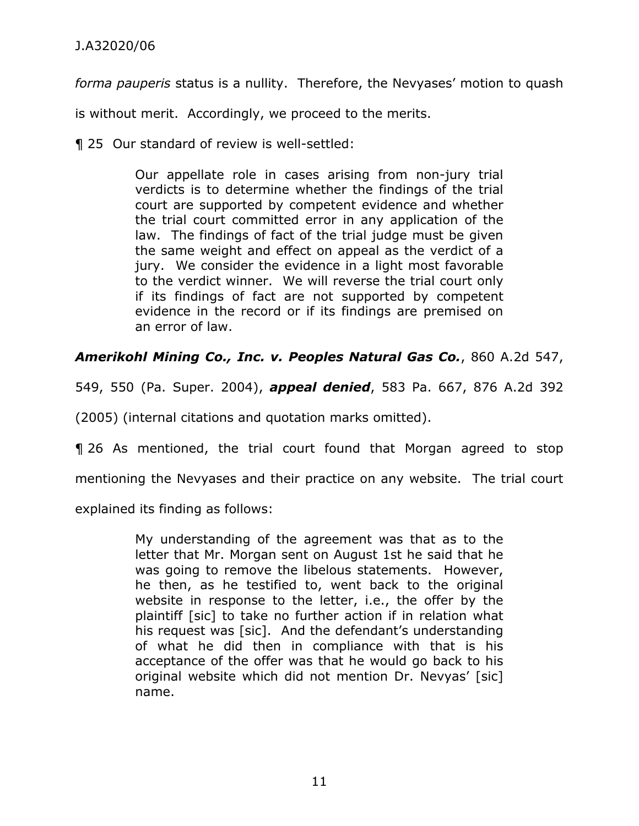*forma pauperis* status is a nullity. Therefore, the Nevyases' motion to quash

is without merit. Accordingly, we proceed to the merits.

¶ 25 Our standard of review is well-settled:

Our appellate role in cases arising from non-jury trial verdicts is to determine whether the findings of the trial court are supported by competent evidence and whether the trial court committed error in any application of the law. The findings of fact of the trial judge must be given the same weight and effect on appeal as the verdict of a jury. We consider the evidence in a light most favorable to the verdict winner. We will reverse the trial court only if its findings of fact are not supported by competent evidence in the record or if its findings are premised on an error of law.

*Amerikohl Mining Co., Inc. v. Peoples Natural Gas Co.*, 860 A.2d 547,

549, 550 (Pa. Super. 2004), *appeal denied*, 583 Pa. 667, 876 A.2d 392

(2005) (internal citations and quotation marks omitted).

¶ 26 As mentioned, the trial court found that Morgan agreed to stop mentioning the Nevyases and their practice on any website. The trial court explained its finding as follows:

> My understanding of the agreement was that as to the letter that Mr. Morgan sent on August 1st he said that he was going to remove the libelous statements. However, he then, as he testified to, went back to the original website in response to the letter, i.e., the offer by the plaintiff [sic] to take no further action if in relation what his request was [sic]. And the defendant's understanding of what he did then in compliance with that is his acceptance of the offer was that he would go back to his original website which did not mention Dr. Nevyas' [sic] name.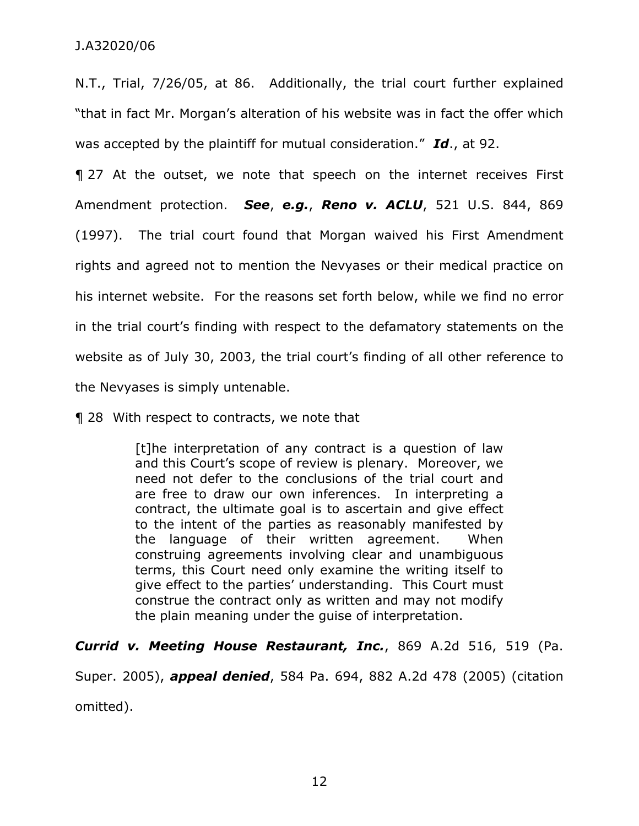N.T., Trial, 7/26/05, at 86. Additionally, the trial court further explained "that in fact Mr. Morgan's alteration of his website was in fact the offer which was accepted by the plaintiff for mutual consideration." *Id*., at 92.

¶ 27 At the outset, we note that speech on the internet receives First Amendment protection. *See*, *e.g.*, *Reno v. ACLU*, 521 U.S. 844, 869 (1997). The trial court found that Morgan waived his First Amendment rights and agreed not to mention the Nevyases or their medical practice on his internet website. For the reasons set forth below, while we find no error in the trial court's finding with respect to the defamatory statements on the website as of July 30, 2003, the trial court's finding of all other reference to the Nevyases is simply untenable.

¶ 28 With respect to contracts, we note that

[t]he interpretation of any contract is a question of law and this Court's scope of review is plenary. Moreover, we need not defer to the conclusions of the trial court and are free to draw our own inferences. In interpreting a contract, the ultimate goal is to ascertain and give effect to the intent of the parties as reasonably manifested by the language of their written agreement. When construing agreements involving clear and unambiguous terms, this Court need only examine the writing itself to give effect to the parties' understanding. This Court must construe the contract only as written and may not modify the plain meaning under the guise of interpretation.

*Currid v. Meeting House Restaurant, Inc.*, 869 A.2d 516, 519 (Pa.

Super. 2005), *appeal denied*, 584 Pa. 694, 882 A.2d 478 (2005) (citation omitted).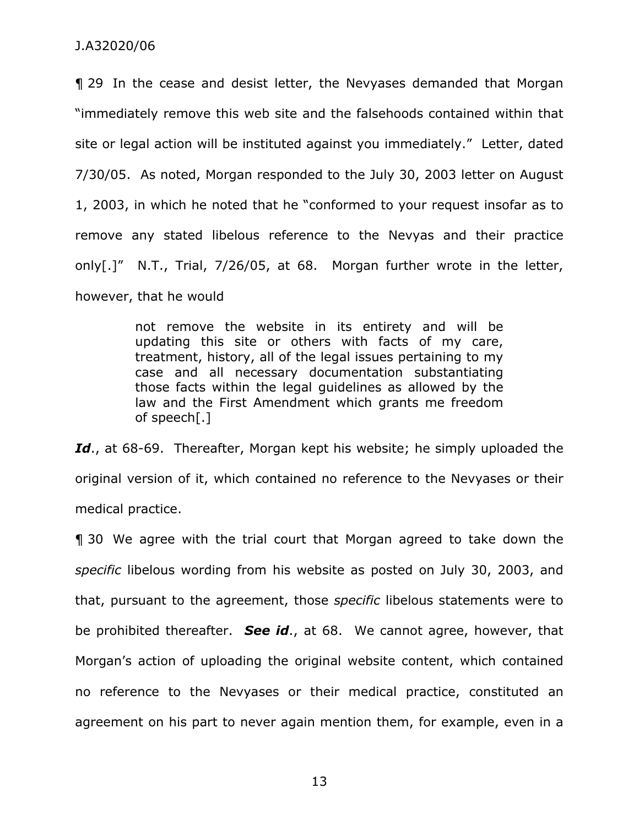¶ 29 In the cease and desist letter, the Nevyases demanded that Morgan "immediately remove this web site and the falsehoods contained within that site or legal action will be instituted against you immediately." Letter, dated 7/30/05. As noted, Morgan responded to the July 30, 2003 letter on August 1, 2003, in which he noted that he "conformed to your request insofar as to remove any stated libelous reference to the Nevyas and their practice only[.]" N.T., Trial, 7/26/05, at 68. Morgan further wrote in the letter, however, that he would

> not remove the website in its entirety and will be updating this site or others with facts of my care, treatment, history, all of the legal issues pertaining to my case and all necessary documentation substantiating those facts within the legal guidelines as allowed by the law and the First Amendment which grants me freedom of speech[.]

Id., at 68-69. Thereafter, Morgan kept his website; he simply uploaded the original version of it, which contained no reference to the Nevyases or their medical practice.

¶ 30 We agree with the trial court that Morgan agreed to take down the *specific* libelous wording from his website as posted on July 30, 2003, and that, pursuant to the agreement, those *specific* libelous statements were to be prohibited thereafter. *See id*., at 68. We cannot agree, however, that Morgan's action of uploading the original website content, which contained no reference to the Nevyases or their medical practice, constituted an agreement on his part to never again mention them, for example, even in a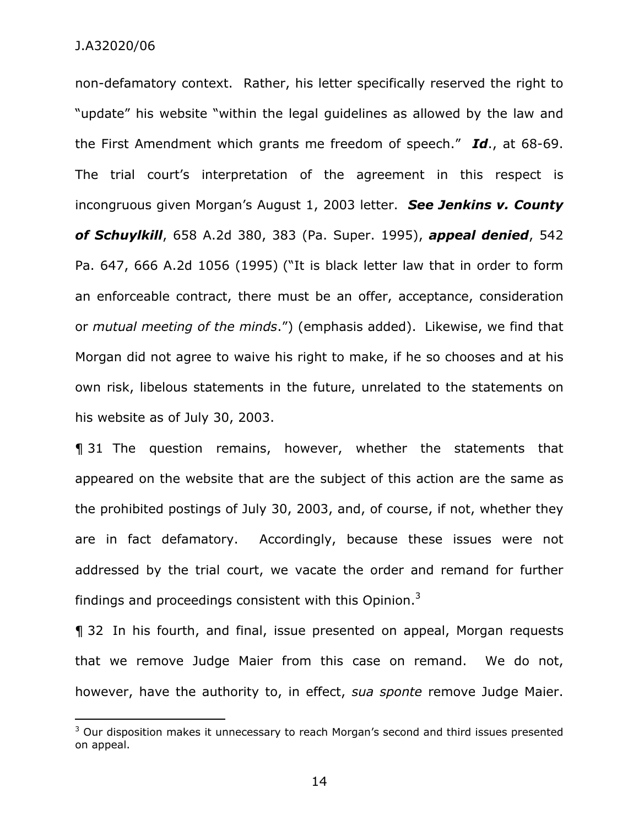-

non-defamatory context. Rather, his letter specifically reserved the right to "update" his website "within the legal guidelines as allowed by the law and the First Amendment which grants me freedom of speech." *Id*., at 68-69. The trial court's interpretation of the agreement in this respect is incongruous given Morgan's August 1, 2003 letter. *See Jenkins v. County of Schuylkill*, 658 A.2d 380, 383 (Pa. Super. 1995), *appeal denied*, 542 Pa. 647, 666 A.2d 1056 (1995) ("It is black letter law that in order to form an enforceable contract, there must be an offer, acceptance, consideration or *mutual meeting of the minds*.") (emphasis added). Likewise, we find that Morgan did not agree to waive his right to make, if he so chooses and at his own risk, libelous statements in the future, unrelated to the statements on his website as of July 30, 2003.

¶ 31 The question remains, however, whether the statements that appeared on the website that are the subject of this action are the same as the prohibited postings of July 30, 2003, and, of course, if not, whether they are in fact defamatory. Accordingly, because these issues were not addressed by the trial court, we vacate the order and remand for further findings and proceedings consistent with this Opinion. $3$ 

¶ 32 In his fourth, and final, issue presented on appeal, Morgan requests that we remove Judge Maier from this case on remand. We do not, however, have the authority to, in effect, *sua sponte* remove Judge Maier.

 $3$  Our disposition makes it unnecessary to reach Morgan's second and third issues presented on appeal.